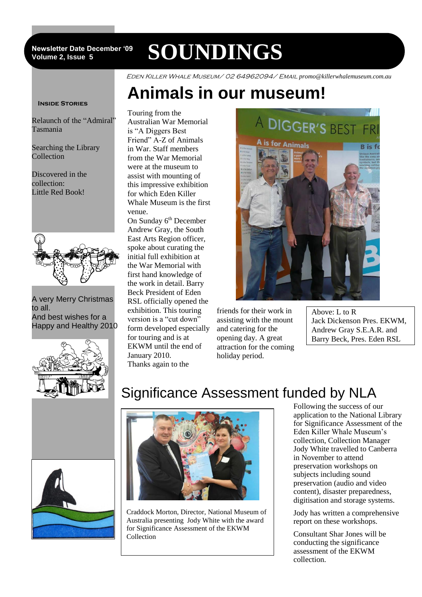#### **Newsletter Date December '09 Volume 2, Issue 5**

# **SOUNDINGS**

Eden Killer Whale Museum/ 02 64962094/ Email *promo@killerwhalemuseum.com.au*

# **Animals in our museum!**

#### **Inside Stories**

Relaunch of the "Admiral" Tasmania

Searching the Library Collection

Discovered in the collection: Little Red Book!



A very Merry Christmas to all. And best wishes for a Happy and Healthy 2010



Touring from the Australian War Memorial is "A Diggers Best Friend" A-Z of Animals in War. Staff members from the War Memorial were at the museum to assist with mounting of this impressive exhibition for which Eden Killer Whale Museum is the first venue.

On Sunday 6<sup>th</sup> December Andrew Gray, the South East Arts Region officer, spoke about curating the initial full exhibition at the War Memorial with first hand knowledge of the work in detail. Barry Beck President of Eden RSL officially opened the exhibition. This touring version is a "cut down" form developed especially for touring and is at EKWM until the end of January 2010. Thanks again to the



friends for their work in assisting with the mount and catering for the opening day. A great attraction for the coming holiday period.

Above: L to R Jack Dickenson Pres. EKWM, Andrew Gray S.E.A.R. and Barry Beck, Pres. Eden RSL





# Significance Assessment funded by NLA



Craddock Morton, Director, National Museum of Australia presenting Jody White with the award for Significance Assessment of the EKWM Collection

Following the success of our application to the National Library for Significance Assessment of the Eden Killer Whale Museum's collection, Collection Manager Jody White travelled to Canberra in November to attend preservation workshops on subjects including sound preservation (audio and video content), disaster preparedness, digitisation and storage systems.

Jody has written a comprehensive report on these workshops.

Consultant Shar Jones will be conducting the significance assessment of the EKWM collection.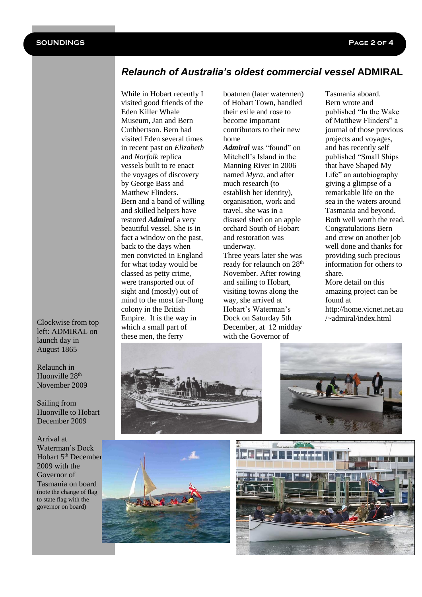#### *Relaunch of Australia's oldest commercial vessel* **ADMIRAL**

While in Hobart recently I visited good friends of the Eden Killer Whale Museum, Jan and Bern Cuthbertson. Bern had visited Eden several times in recent past on *Elizabeth* and *Norfolk* replica vessels built to re enact the voyages of discovery by George Bass and Matthew Flinders. Bern and a band of willing and skilled helpers have restored *Admiral* a very beautiful vessel. She is in fact a window on the past, back to the days when men convicted in England for what today would be classed as petty crime, were transported out of sight and (mostly) out of mind to the most far-flung colony in the British Clockwise from top Empire. It is the way in Dock on Saturday 5th /~admiral/index.html which a small part of these men, the ferry

boatmen (later watermen) of Hobart Town, handled their exile and rose to become important contributors to their new home

*Admiral* was "found" on Mitchell's Island in the Manning River in 2006 named *Myra,* and after much research (to establish her identity), organisation, work and travel, she was in a disused shed on an apple orchard South of Hobart and restoration was underway.

Three years later she was ready for relaunch on 28<sup>th</sup> November. After rowing and sailing to Hobart, visiting towns along the way, she arrived at Hobart's Waterman's Dock on Saturday 5th December, at 12 midday with the Governor of

Tasmania aboard. Bern wrote and published "In the Wake of Matthew Flinders" a journal of those previous projects and voyages, and has recently self published "Small Ships that have Shaped My Life" an autobiography giving a glimpse of a remarkable life on the sea in the waters around Tasmania and beyond. Both well worth the read. Congratulations Bern and crew on another job well done and thanks for providing such precious information for others to share. More detail on this

amazing project can be found at http://home.vicnet.net.au

left: ADMIRAL on launch day in August 1865

Relaunch in Huonville 28<sup>th</sup> November 2009

Sailing from Huonville to Hobart December 2009

Arrival at Waterman's Dock Hobart 5<sup>th</sup> December 2009 with the Governor of Tasmania on board (note the change of flag to state flag with the governor on board)







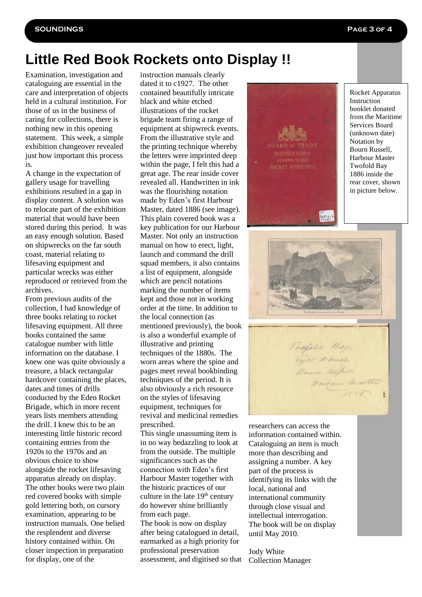## **Little Red Book Rockets onto Display !!**

Examination, investigation and cataloguing are essential in the care and interpretation of objects held in a cultural institution. For those of us in the business of caring for collections, there is nothing new in this opening statement. This week, a simple exhibition changeover revealed just how important this process is.

A change in the expectation of gallery usage for travelling exhibitions resulted in a gap in display content. A solution was to relocate part of the exhibition material that would have been stored during this period. It was an easy enough solution. Based on shipwrecks on the far south coast, material relating to lifesaving equipment and particular wrecks was either reproduced or retrieved from the archives.

From previous audits of the collection, I had knowledge of three books relating to rocket lifesaving equipment. All three books contained the same catalogue number with little information on the database. I knew one was quite obviously a treasure, a black rectangular hardcover containing the places, dates and times of drills conducted by the Eden Rocket Brigade, which in more recent years lists members attending the drill. I knew this to be an interesting little historic record containing entries from the 1920s to the 1970s and an obvious choice to show alongside the rocket lifesaving apparatus already on display. The other books were two plain red covered books with simple gold lettering both, on cursory examination, appearing to be instruction manuals. One belied the resplendent and diverse history contained within. On closer inspection in preparation for display, one of the

instruction manuals clearly dated it to c1927. The other contained beautifully intricate black and white etched illustrations of the rocket brigade team firing a range of equipment at shipwreck events. From the illustrative style and the printing technique whereby the letters were imprinted deep within the page, I felt this had a great age. The rear inside cover revealed all. Handwritten in ink was the flourishing notation made by Eden's first Harbour Master, dated 1886 (see image). This plain covered book was a key publication for our Harbour Master. Not only an instruction manual on how to erect, light, launch and command the drill squad members, it also contains a list of equipment, alongside which are pencil notations marking the number of items kept and those not in working order at the time. In addition to the local connection (as mentioned previously), the book is also a wonderful example of illustrative and printing techniques of the 1880s. The worn areas where the spine and pages meet reveal bookbinding techniques of the period. It is also obviously a rich resource on the styles of lifesaving equipment, techniques for revival and medicinal remedies prescribed.

This single unassuming item is in no way bedazzling to look at from the outside. The multiple significances such as the connection with Eden's first Harbour Master together with the historic practices of our culture in the late  $19<sup>th</sup>$  century do however shine brilliantly from each page. The book is now on display

after being catalogued in detail, earmarked as a high priority for professional preservation assessment, and digitised so that



Rocket Apparatus Instruction booklet donated from the Maritime Services Board (unknown date) Notation by Bourn Russell, Harbour Master Twofold Bay 1886 inside the rear cover, shown in picture below.



researchers can access the information contained within. Cataloguing an item is much more than describing and assigning a number. A key part of the process is identifying its links with the local, national and international community through close visual and intellectual interrogation. The book will be on display until May 2010.

Jody White Collection Manager